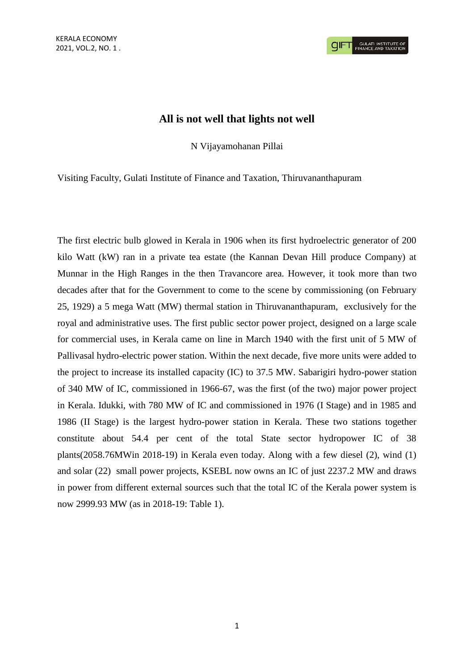## **All is not well that lights not well**

N Vijayamohanan Pillai

Visiting Faculty, Gulati Institute of Finance and Taxation, Thiruvananthapuram

The first electric bulb glowed in Kerala in 1906 when its first hydroelectric generator of 200 kilo Watt (kW) ran in a private tea estate (the Kannan Devan Hill produce Company) at Munnar in the High Ranges in the then Travancore area. However, it took more than two decades after that for the Government to come to the scene by commissioning (on February 25, 1929) a 5 mega Watt (MW) thermal station in Thiruvananthapuram, exclusively for the royal and administrative uses. The first public sector power project, designed on a large scale for commercial uses, in Kerala came on line in March 1940 with the first unit of 5 MW of Pallivasal hydro-electric power station. Within the next decade, five more units were added to the project to increase its installed capacity (IC) to 37.5 MW. Sabarigiri hydro-power station of 340 MW of IC, commissioned in 1966-67, was the first (of the two) major power project in Kerala. Idukki, with 780 MW of IC and commissioned in 1976 (I Stage) and in 1985 and 1986 (II Stage) is the largest hydro-power station in Kerala. These two stations together constitute about 54.4 per cent of the total State sector hydropower IC of 38 plants(2058.76MWin 2018-19) in Kerala even today. Along with a few diesel (2), wind (1) and solar (22) small power projects, KSEBL now owns an IC of just 2237.2 MW and draws in power from different external sources such that the total IC of the Kerala power system is now 2999.93 MW (as in 2018-19: Table 1).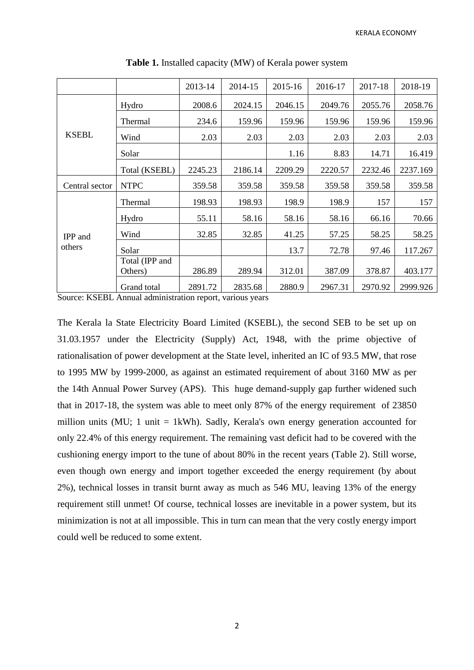|                   |                           | 2013-14 | 2014-15 | 2015-16 | 2016-17 | 2017-18 | 2018-19  |
|-------------------|---------------------------|---------|---------|---------|---------|---------|----------|
| <b>KSEBL</b>      | Hydro                     | 2008.6  | 2024.15 | 2046.15 | 2049.76 | 2055.76 | 2058.76  |
|                   | Thermal                   | 234.6   | 159.96  | 159.96  | 159.96  | 159.96  | 159.96   |
|                   | Wind                      | 2.03    | 2.03    | 2.03    | 2.03    | 2.03    | 2.03     |
|                   | Solar                     |         |         | 1.16    | 8.83    | 14.71   | 16.419   |
|                   | Total (KSEBL)             | 2245.23 | 2186.14 | 2209.29 | 2220.57 | 2232.46 | 2237.169 |
| Central sector    | <b>NTPC</b>               | 359.58  | 359.58  | 359.58  | 359.58  | 359.58  | 359.58   |
| IPP and<br>others | Thermal                   | 198.93  | 198.93  | 198.9   | 198.9   | 157     | 157      |
|                   | Hydro                     | 55.11   | 58.16   | 58.16   | 58.16   | 66.16   | 70.66    |
|                   | Wind                      | 32.85   | 32.85   | 41.25   | 57.25   | 58.25   | 58.25    |
|                   | Solar                     |         |         | 13.7    | 72.78   | 97.46   | 117.267  |
|                   | Total (IPP and<br>Others) | 286.89  | 289.94  | 312.01  | 387.09  | 378.87  | 403.177  |
|                   | Grand total               | 2891.72 | 2835.68 | 2880.9  | 2967.31 | 2970.92 | 2999.926 |

**Table 1.** Installed capacity (MW) of Kerala power system

Source: KSEBL Annual administration report, various years

The Kerala la State Electricity Board Limited (KSEBL), the second SEB to be set up on 31.03.1957 under the Electricity (Supply) Act, 1948, with the prime objective of rationalisation of power development at the State level, inherited an IC of 93.5 MW, that rose to 1995 MW by 1999-2000, as against an estimated requirement of about 3160 MW as per the 14th Annual Power Survey (APS). This huge demand-supply gap further widened such that in 2017-18, the system was able to meet only 87% of the energy requirement of 23850 million units (MU; 1 unit = 1kWh). Sadly, Kerala's own energy generation accounted for only 22.4% of this energy requirement. The remaining vast deficit had to be covered with the cushioning energy import to the tune of about 80% in the recent years (Table 2). Still worse, even though own energy and import together exceeded the energy requirement (by about 2%), technical losses in transit burnt away as much as 546 MU, leaving 13% of the energy requirement still unmet! Of course, technical losses are inevitable in a power system, but its minimization is not at all impossible. This in turn can mean that the very costly energy import could well be reduced to some extent.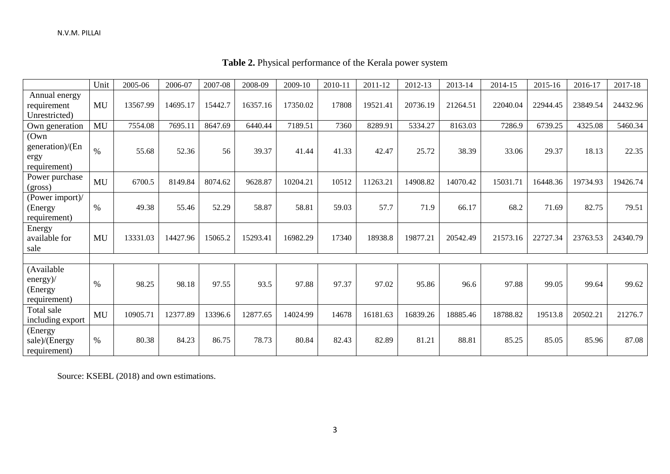|                                                    | Unit          | 2005-06  | 2006-07  | 2007-08 | 2008-09  | 2009-10  | 2010-11 | 2011-12  | 2012-13  | 2013-14  | 2014-15  | 2015-16  | 2016-17  | 2017-18  |
|----------------------------------------------------|---------------|----------|----------|---------|----------|----------|---------|----------|----------|----------|----------|----------|----------|----------|
| Annual energy<br>requirement<br>Unrestricted)      | <b>MU</b>     | 13567.99 | 14695.17 | 15442.7 | 16357.16 | 17350.02 | 17808   | 19521.41 | 20736.19 | 21264.51 | 22040.04 | 22944.45 | 23849.54 | 24432.96 |
| Own generation                                     | MU            | 7554.08  | 7695.11  | 8647.69 | 6440.44  | 7189.51  | 7360    | 8289.91  | 5334.27  | 8163.03  | 7286.9   | 6739.25  | 4325.08  | 5460.34  |
| (0wn)<br>generation)/(En<br>ergy<br>requirement)   | $\frac{0}{0}$ | 55.68    | 52.36    | 56      | 39.37    | 41.44    | 41.33   | 42.47    | 25.72    | 38.39    | 33.06    | 29.37    | 18.13    | 22.35    |
| Power purchase<br>(gross)                          | MU            | 6700.5   | 8149.84  | 8074.62 | 9628.87  | 10204.21 | 10512   | 11263.21 | 14908.82 | 14070.42 | 15031.71 | 16448.36 | 19734.93 | 19426.74 |
| (Power import)/<br>(Energy<br>requirement)         | $\%$          | 49.38    | 55.46    | 52.29   | 58.87    | 58.81    | 59.03   | 57.7     | 71.9     | 66.17    | 68.2     | 71.69    | 82.75    | 79.51    |
| Energy<br>available for<br>sale                    | MU            | 13331.03 | 14427.96 | 15065.2 | 15293.41 | 16982.29 | 17340   | 18938.8  | 19877.21 | 20542.49 | 21573.16 | 22727.34 | 23763.53 | 24340.79 |
|                                                    |               |          |          |         |          |          |         |          |          |          |          |          |          |          |
| (Available<br>energy) /<br>(Energy<br>requirement) | $\%$          | 98.25    | 98.18    | 97.55   | 93.5     | 97.88    | 97.37   | 97.02    | 95.86    | 96.6     | 97.88    | 99.05    | 99.64    | 99.62    |
| Total sale<br>including export                     | MU            | 10905.71 | 12377.89 | 13396.6 | 12877.65 | 14024.99 | 14678   | 16181.63 | 16839.26 | 18885.46 | 18788.82 | 19513.8  | 20502.21 | 21276.7  |
| (Energy<br>sale)/(Energy<br>requirement)           | $\%$          | 80.38    | 84.23    | 86.75   | 78.73    | 80.84    | 82.43   | 82.89    | 81.21    | 88.81    | 85.25    | 85.05    | 85.96    | 87.08    |

# **Table 2.** Physical performance of the Kerala power system

Source: KSEBL (2018) and own estimations.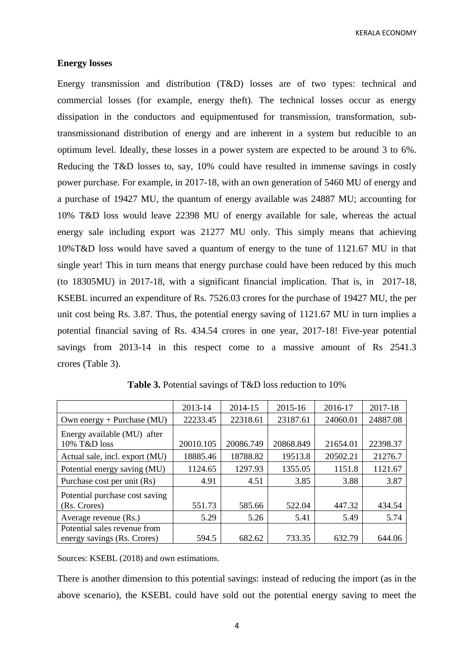#### **Energy losses**

Energy transmission and distribution (T&D) losses are of two types: technical and commercial losses (for example, energy theft). The technical losses occur as energy dissipation in the conductors and equipmentused for transmission, transformation, subtransmissionand distribution of energy and are inherent in a system but reducible to an optimum level. Ideally, these losses in a power system are expected to be around 3 to 6%. Reducing the T&D losses to, say, 10% could have resulted in immense savings in costly power purchase. For example, in 2017-18, with an own generation of 5460 MU of energy and a purchase of 19427 MU, the quantum of energy available was 24887 MU; accounting for 10% T&D loss would leave 22398 MU of energy available for sale, whereas the actual energy sale including export was 21277 MU only. This simply means that achieving 10%T&D loss would have saved a quantum of energy to the tune of 1121.67 MU in that single year! This in turn means that energy purchase could have been reduced by this much (to 18305MU) in 2017-18, with a significant financial implication. That is, in 2017-18, KSEBL incurred an expenditure of Rs. 7526.03 crores for the purchase of 19427 MU, the per unit cost being Rs. 3.87. Thus, the potential energy saving of 1121.67 MU in turn implies a potential financial saving of Rs. 434.54 crores in one year, 2017-18! Five-year potential savings from 2013-14 in this respect come to a massive amount of Rs 2541.3 crores (Table 3).

|                                                             | 2013-14   | 2014-15   | 2015-16   | 2016-17  | 2017-18  |
|-------------------------------------------------------------|-----------|-----------|-----------|----------|----------|
| Own energy + Purchase $(MU)$                                | 22233.45  | 22318.61  | 23187.61  | 24060.01 | 24887.08 |
| Energy available (MU) after<br>$10\%$ T&D loss              | 20010.105 | 20086.749 | 20868.849 | 21654.01 | 22398.37 |
| Actual sale, incl. export (MU)                              | 18885.46  | 18788.82  | 19513.8   | 20502.21 | 21276.7  |
| Potential energy saving (MU)                                | 1124.65   | 1297.93   | 1355.05   | 1151.8   | 1121.67  |
| Purchase cost per unit (Rs)                                 | 4.91      | 4.51      | 3.85      | 3.88     | 3.87     |
| Potential purchase cost saving<br>(Rs. Crores)              | 551.73    | 585.66    | 522.04    | 447.32   | 434.54   |
| Average revenue (Rs.)                                       | 5.29      | 5.26      | 5.41      | 5.49     | 5.74     |
| Potential sales revenue from<br>energy savings (Rs. Crores) | 594.5     | 682.62    | 733.35    | 632.79   | 644.06   |

**Table 3.** Potential savings of T&D loss reduction to 10%

Sources: KSEBL (2018) and own estimations.

There is another dimension to this potential savings: instead of reducing the import (as in the above scenario), the KSEBL could have sold out the potential energy saving to meet the

4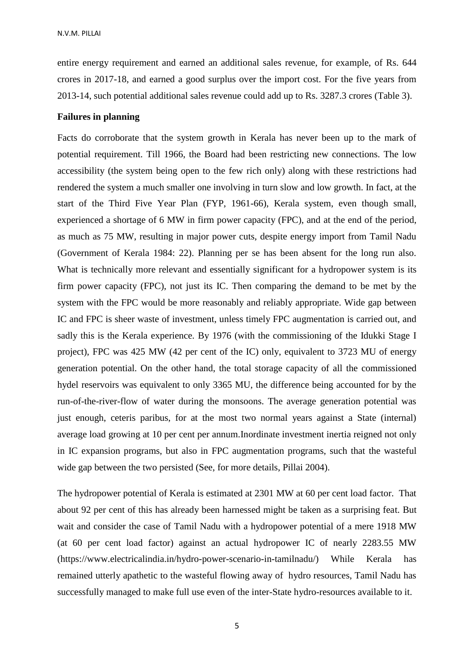entire energy requirement and earned an additional sales revenue, for example, of Rs. 644 crores in 2017-18, and earned a good surplus over the import cost. For the five years from 2013-14, such potential additional sales revenue could add up to Rs. 3287.3 crores (Table 3).

#### **Failures in planning**

Facts do corroborate that the system growth in Kerala has never been up to the mark of potential requirement. Till 1966, the Board had been restricting new connections. The low accessibility (the system being open to the few rich only) along with these restrictions had rendered the system a much smaller one involving in turn slow and low growth. In fact, at the start of the Third Five Year Plan (FYP, 1961-66), Kerala system, even though small, experienced a shortage of 6 MW in firm power capacity (FPC), and at the end of the period, as much as 75 MW, resulting in major power cuts, despite energy import from Tamil Nadu (Government of Kerala 1984: 22). Planning per se has been absent for the long run also. What is technically more relevant and essentially significant for a hydropower system is its firm power capacity (FPC), not just its IC. Then comparing the demand to be met by the system with the FPC would be more reasonably and reliably appropriate. Wide gap between IC and FPC is sheer waste of investment, unless timely FPC augmentation is carried out, and sadly this is the Kerala experience. By 1976 (with the commissioning of the Idukki Stage I project), FPC was 425 MW (42 per cent of the IC) only, equivalent to 3723 MU of energy generation potential. On the other hand, the total storage capacity of all the commissioned hydel reservoirs was equivalent to only 3365 MU, the difference being accounted for by the run-of-the-river-flow of water during the monsoons. The average generation potential was just enough, ceteris paribus, for at the most two normal years against a State (internal) average load growing at 10 per cent per annum.Inordinate investment inertia reigned not only in IC expansion programs, but also in FPC augmentation programs, such that the wasteful wide gap between the two persisted (See, for more details, Pillai 2004).

The hydropower potential of Kerala is estimated at 2301 MW at 60 per cent load factor. That about 92 per cent of this has already been harnessed might be taken as a surprising feat. But wait and consider the case of Tamil Nadu with a hydropower potential of a mere 1918 MW (at 60 per cent load factor) against an actual hydropower IC of nearly 2283.55 MW (https://www.electricalindia.in/hydro-power-scenario-in-tamilnadu/) While Kerala has remained utterly apathetic to the wasteful flowing away of hydro resources, Tamil Nadu has successfully managed to make full use even of the inter-State hydro-resources available to it.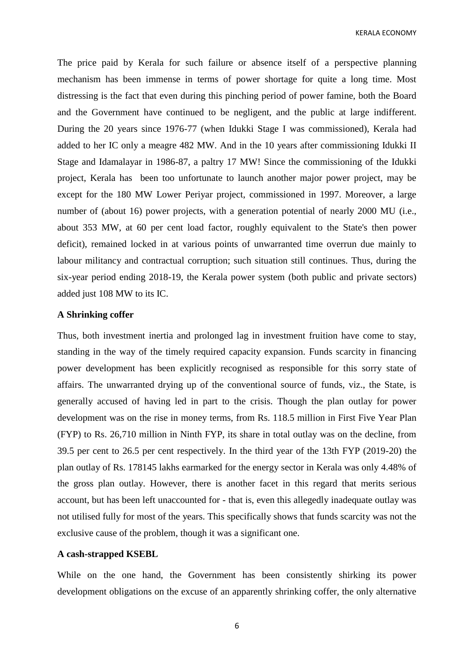The price paid by Kerala for such failure or absence itself of a perspective planning mechanism has been immense in terms of power shortage for quite a long time. Most distressing is the fact that even during this pinching period of power famine, both the Board and the Government have continued to be negligent, and the public at large indifferent. During the 20 years since 1976-77 (when Idukki Stage I was commissioned), Kerala had added to her IC only a meagre 482 MW. And in the 10 years after commissioning Idukki II Stage and Idamalayar in 1986-87, a paltry 17 MW! Since the commissioning of the Idukki project, Kerala has been too unfortunate to launch another major power project, may be except for the 180 MW Lower Periyar project, commissioned in 1997. Moreover, a large number of (about 16) power projects, with a generation potential of nearly 2000 MU (i.e., about 353 MW, at 60 per cent load factor, roughly equivalent to the State's then power deficit), remained locked in at various points of unwarranted time overrun due mainly to labour militancy and contractual corruption; such situation still continues. Thus, during the six-year period ending 2018-19, the Kerala power system (both public and private sectors) added just 108 MW to its IC.

#### **A Shrinking coffer**

Thus, both investment inertia and prolonged lag in investment fruition have come to stay, standing in the way of the timely required capacity expansion. Funds scarcity in financing power development has been explicitly recognised as responsible for this sorry state of affairs. The unwarranted drying up of the conventional source of funds, viz., the State, is generally accused of having led in part to the crisis. Though the plan outlay for power development was on the rise in money terms, from Rs. 118.5 million in First Five Year Plan (FYP) to Rs. 26,710 million in Ninth FYP, its share in total outlay was on the decline, from 39.5 per cent to 26.5 per cent respectively. In the third year of the 13th FYP (2019-20) the plan outlay of Rs. 178145 lakhs earmarked for the energy sector in Kerala was only 4.48% of the gross plan outlay. However, there is another facet in this regard that merits serious account, but has been left unaccounted for - that is, even this allegedly inadequate outlay was not utilised fully for most of the years. This specifically shows that funds scarcity was not the exclusive cause of the problem, though it was a significant one.

#### **A cash-strapped KSEBL**

While on the one hand, the Government has been consistently shirking its power development obligations on the excuse of an apparently shrinking coffer, the only alternative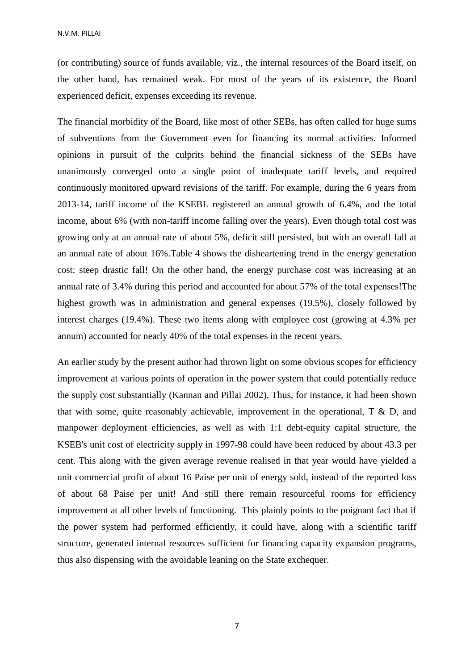(or contributing) source of funds available, viz., the internal resources of the Board itself, on the other hand, has remained weak. For most of the years of its existence, the Board experienced deficit, expenses exceeding its revenue.

The financial morbidity of the Board, like most of other SEBs, has often called for huge sums of subventions from the Government even for financing its normal activities. Informed opinions in pursuit of the culprits behind the financial sickness of the SEBs have unanimously converged onto a single point of inadequate tariff levels, and required continuously monitored upward revisions of the tariff. For example, during the 6 years from 2013-14, tariff income of the KSEBL registered an annual growth of 6.4%, and the total income, about 6% (with non-tariff income falling over the years). Even though total cost was growing only at an annual rate of about 5%, deficit still persisted, but with an overall fall at an annual rate of about 16%.Table 4 shows the disheartening trend in the energy generation cost: steep drastic fall! On the other hand, the energy purchase cost was increasing at an annual rate of 3.4% during this period and accounted for about 57% of the total expenses!The highest growth was in administration and general expenses (19.5%), closely followed by interest charges (19.4%). These two items along with employee cost (growing at 4.3% per annum) accounted for nearly 40% of the total expenses in the recent years.

An earlier study by the present author had thrown light on some obvious scopes for efficiency improvement at various points of operation in the power system that could potentially reduce the supply cost substantially (Kannan and Pillai 2002). Thus, for instance, it had been shown that with some, quite reasonably achievable, improvement in the operational,  $T \& D$ , and manpower deployment efficiencies, as well as with 1:1 debt-equity capital structure, the KSEB's unit cost of electricity supply in 1997-98 could have been reduced by about 43.3 per cent. This along with the given average revenue realised in that year would have yielded a unit commercial profit of about 16 Paise per unit of energy sold, instead of the reported loss of about 68 Paise per unit! And still there remain resourceful rooms for efficiency improvement at all other levels of functioning. This plainly points to the poignant fact that if the power system had performed efficiently, it could have, along with a scientific tariff structure, generated internal resources sufficient for financing capacity expansion programs, thus also dispensing with the avoidable leaning on the State exchequer.